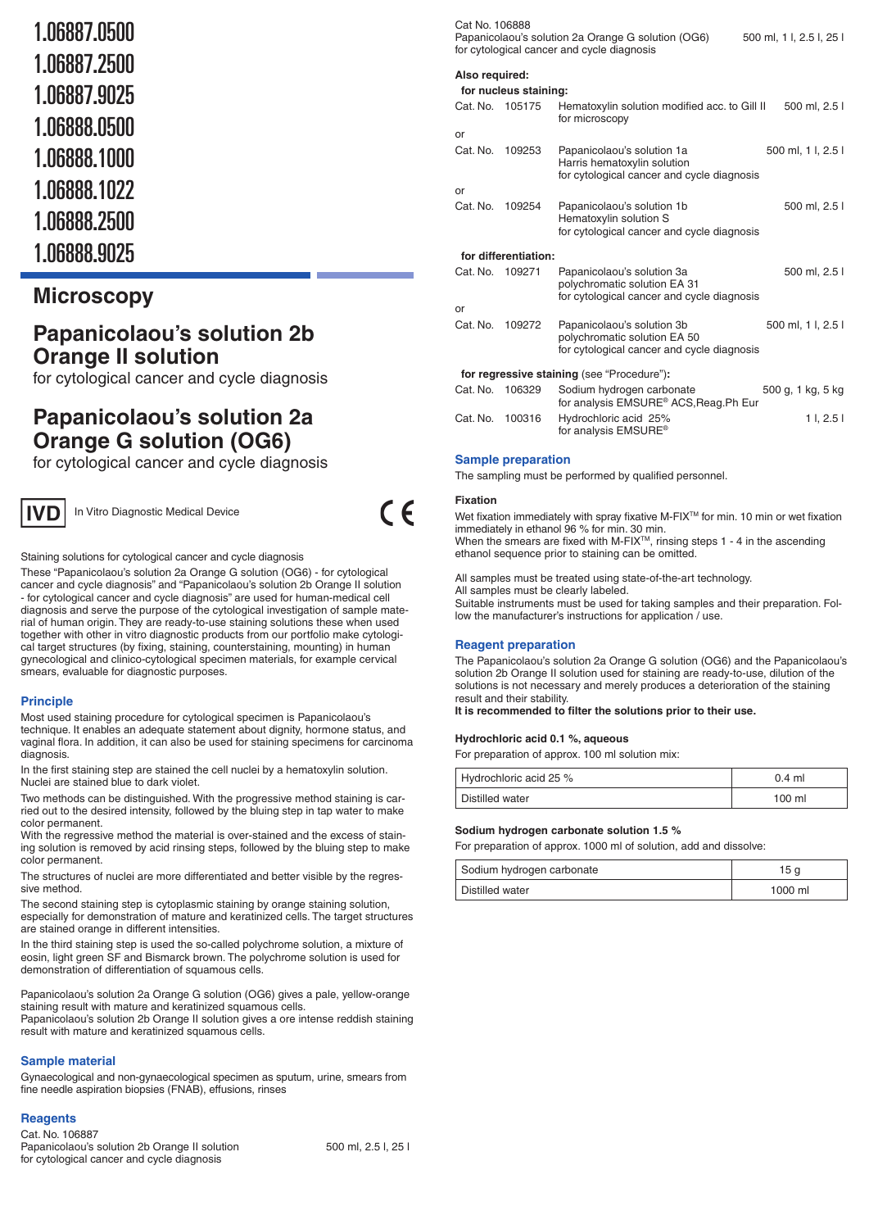- 1.06887.0500
- 1.06887.2500
- 1.06887.9025
- 1.06888.0500
- 1.06888.1000
- 1.06888.1022
- 
- 1.06888.2500
- 1.06888.9025

## **Microscopy**

# **Papanicolaou's solution 2b Orange II solution**

for cytological cancer and cycle diagnosis

# **Papanicolaou's solution 2a Orange G solution (OG6)**

for cytological cancer and cycle diagnosis



In Vitro Diagnostic Medical Device

Staining solutions for cytological cancer and cycle diagnosis

These "Papanicolaou's solution 2a Orange G solution (OG6) - for cytological cancer and cycle diagnosis" and "Papanicolaou's solution 2b Orange II solution - for cytological cancer and cycle diagnosis" are used for human-medical cell diagnosis and serve the purpose of the cytological investigation of sample material of human origin. They are ready-to-use staining solutions these when used together with other in vitro diagnostic products from our portfolio make cytological target structures (by fixing, staining, counterstaining, mounting) in human gynecological and clinico-cytological specimen materials, for example cervical smears, evaluable for diagnostic purposes.

## **Principle**

Most used staining procedure for cytological specimen is Papanicolaou's technique. It enables an adequate statement about dignity, hormone status, and vaginal flora. In addition, it can also be used for staining specimens for carcinoma diagnosis.

In the first staining step are stained the cell nuclei by a hematoxylin solution. Nuclei are stained blue to dark violet.

Two methods can be distinguished. With the progressive method staining is carried out to the desired intensity, followed by the bluing step in tap water to make color permanent.

With the regressive method the material is over-stained and the excess of staining solution is removed by acid rinsing steps, followed by the bluing step to make color permanent.

The structures of nuclei are more differentiated and better visible by the regressive method.

The second staining step is cytoplasmic staining by orange staining solution, especially for demonstration of mature and keratinized cells. The target structures are stained orange in different intensities.

In the third staining step is used the so-called polychrome solution, a mixture of eosin, light green SF and Bismarck brown. The polychrome solution is used for demonstration of differentiation of squamous cells.

Papanicolaou's solution 2a Orange G solution (OG6) gives a pale, yellow-orange staining result with mature and keratinized squamous cells.

Papanicolaou's solution 2b Orange II solution gives a ore intense reddish staining result with mature and keratinized squamous cells.

## **Sample material**

Gynaecological and non-gynaecological specimen as sputum, urine, smears from fine needle aspiration biopsies (FNAB), effusions, rinses

| <b>Reagents</b> |  |
|-----------------|--|
| Cat. No. 106887 |  |
| $-$             |  |

| Cat. No. 106887                               |                     |
|-----------------------------------------------|---------------------|
| Papanicolaou's solution 2b Orange II solution | 500 ml. 2.5 l. 25 l |
| for cytological cancer and cycle diagnosis    |                     |

| Cat No. 106888 |                       | Papanicolaou's solution 2a Orange G solution (OG6)<br>for cytological cancer and cycle diagnosis         | 500 ml, 1 l, 2.5 l, 25 l |
|----------------|-----------------------|----------------------------------------------------------------------------------------------------------|--------------------------|
| Also required: | for nucleus staining: |                                                                                                          |                          |
| Cat. No.       | 105175                | Hematoxylin solution modified acc. to Gill II<br>for microscopy                                          | 500 ml, 2.5 l            |
| or             |                       |                                                                                                          |                          |
| Cat. No.       | 109253                | Papanicolaou's solution 1a<br>Harris hematoxylin solution<br>for cytological cancer and cycle diagnosis  | 500 ml, 1 l, 2.5 l       |
| or             |                       |                                                                                                          |                          |
| Cat. No.       | 109254                | Papanicolaou's solution 1b<br>Hematoxylin solution S<br>for cytological cancer and cycle diagnosis       | 500 ml, 2.5 l            |
|                | for differentiation:  |                                                                                                          |                          |
| Cat. No.       | 109271                | Papanicolaou's solution 3a                                                                               | 500 ml, 2.5 l            |
|                |                       | polychromatic solution EA 31<br>for cytological cancer and cycle diagnosis                               |                          |
| or             |                       |                                                                                                          |                          |
| Cat. No.       | 109272                | Papanicolaou's solution 3b<br>polychromatic solution EA 50<br>for cytological cancer and cycle diagnosis | 500 ml, 1 l, 2.5 l       |
|                |                       | for regressive staining (see "Procedure"):                                                               |                          |
| Cat. No.       | 106329                | Sodium hydrogen carbonate                                                                                | 500 g, 1 kg, 5 kg        |
|                |                       | for analysis EMSURE <sup>®</sup> ACS, Reag. Ph Eur                                                       |                          |
| Cat. No.       | 100316                | Hydrochloric acid 25%                                                                                    | 11, 2.51                 |
|                |                       | for analysis EMSURE <sup>®</sup>                                                                         |                          |

#### **Sample preparation**

The sampling must be performed by qualified personnel.

#### **Fixation**

 $C \in$ 

Wet fixation immediately with spray fixative M-FIX™ for min. 10 min or wet fixation immediately in ethanol 96 % for min. 30 min. When the smears are fixed with M-FIXTM, rinsing steps 1 - 4 in the ascending ethanol sequence prior to staining can be omitted.

All samples must be treated using state-of-the-art technology.

All samples must be clearly labeled.

Suitable instruments must be used for taking samples and their preparation. Follow the manufacturer's instructions for application / use.

## **Reagent preparation**

The Papanicolaou's solution 2a Orange G solution (OG6) and the Papanicolaou's solution 2b Orange II solution used for staining are ready-to-use, dilution of the solutions is not necessary and merely produces a deterioration of the staining result and their stability.

**It is recommended to filter the solutions prior to their use.**

#### **Hydrochloric acid 0.1 %, aqueous**

For preparation of approx. 100 ml solution mix:

| Hydrochloric acid 25 % | $0.4$ ml |
|------------------------|----------|
| Distilled water        | 100 ml   |

#### **Sodium hydrogen carbonate solution 1.5 %**

For preparation of approx. 1000 ml of solution, add and dissolve:

| Sodium hydrogen carbonate | 15 a      |
|---------------------------|-----------|
| Distilled water           | $1000$ ml |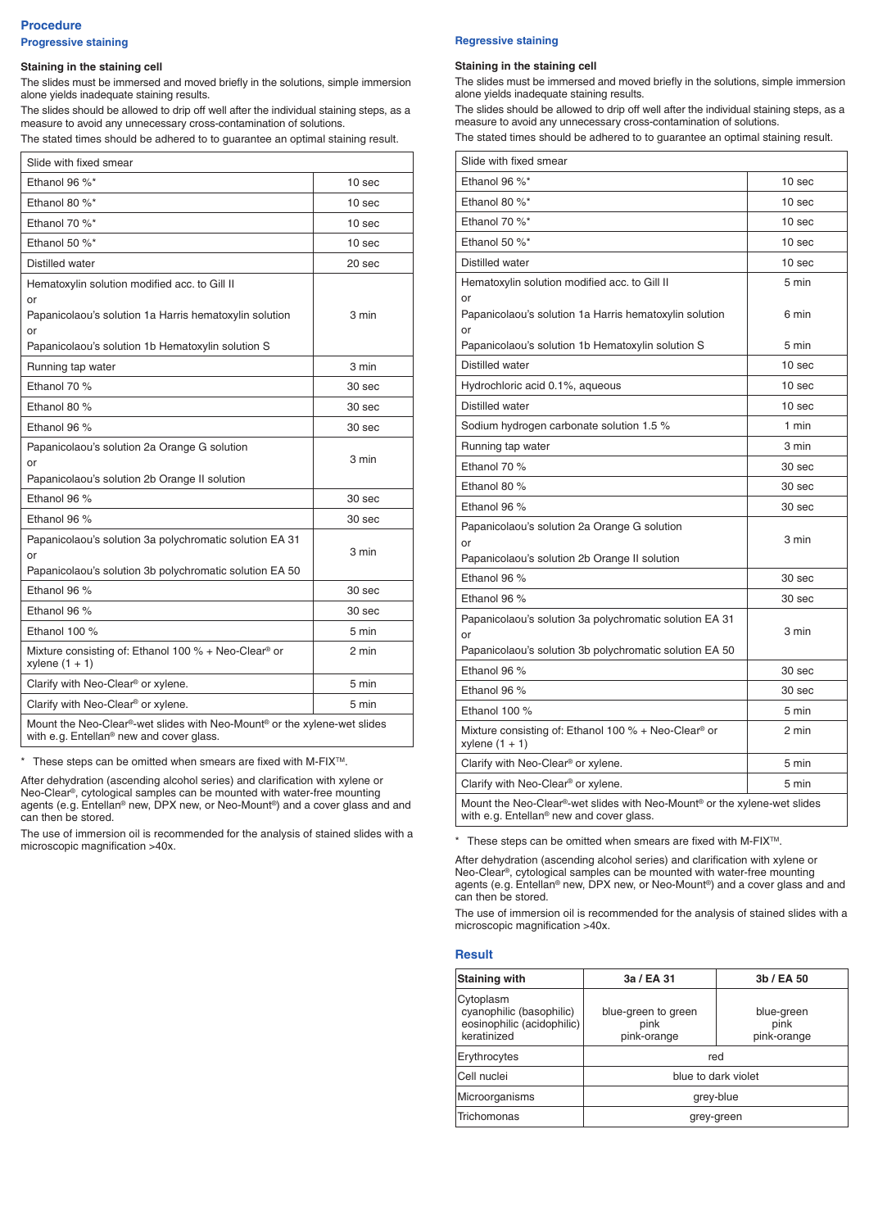## **Procedure Progressive staining**

#### **Staining in the staining cell**

The slides must be immersed and moved briefly in the solutions, simple immersion alone yields inadequate staining results.

The slides should be allowed to drip off well after the individual staining steps, as a measure to avoid any unnecessary cross-contamination of solutions. The stated times should be adhered to to guarantee an optimal staining result.

| Slide with fixed smear                                                                                               |                   |
|----------------------------------------------------------------------------------------------------------------------|-------------------|
| Ethanol 96 %*                                                                                                        | 10 <sub>sec</sub> |
| Ethanol 80 %*                                                                                                        | 10 sec            |
| Ethanol 70 %*                                                                                                        | 10 <sub>sec</sub> |
| Ethanol 50 $\%^*$                                                                                                    | 10 sec            |
| Distilled water                                                                                                      | 20 sec            |
| Hematoxylin solution modified acc. to Gill II<br>or<br>Papanicolaou's solution 1a Harris hematoxylin solution<br>or  | 3 min             |
| Papanicolaou's solution 1b Hematoxylin solution S                                                                    |                   |
| Running tap water                                                                                                    | 3 min             |
| Ethanol 70 %                                                                                                         | 30 sec            |
| Ethanol 80 %                                                                                                         | 30 sec            |
| Ethanol 96 %                                                                                                         | 30 sec            |
| Papanicolaou's solution 2a Orange G solution<br>or                                                                   | 3 min             |
| Papanicolaou's solution 2b Orange II solution                                                                        |                   |
| Ethanol 96 %                                                                                                         | 30 <sub>sec</sub> |
| Ethanol 96 %                                                                                                         | 30 <sub>sec</sub> |
| Papanicolaou's solution 3a polychromatic solution EA 31<br>or                                                        | 3 min             |
| Papanicolaou's solution 3b polychromatic solution EA 50                                                              |                   |
| Ethanol 96 %                                                                                                         | 30 <sub>sec</sub> |
| Ethanol 96 %                                                                                                         | 30 <sub>sec</sub> |
| Ethanol 100 %                                                                                                        | 5 min             |
| Mixture consisting of: Ethanol 100 % + Neo-Clear® or<br>xylene $(1 + 1)$                                             | 2 min             |
| Clarify with Neo-Clear <sup>®</sup> or xylene.                                                                       | 5 min             |
| Clarify with Neo-Clear <sup>®</sup> or xylene.                                                                       | 5 min             |
| Mount the Neo-Clear®-wet slides with Neo-Mount® or the xylene-wet slides<br>with e.g. Entellan® new and cover glass. |                   |

\* These steps can be omitted when smears are fixed with M-FIX<sup>TM</sup>.

After dehydration (ascending alcohol series) and clarification with xylene or Neo-Clear®, cytological samples can be mounted with water-free mounting agents (e. g. Entellan® new, DPX new, or Neo-Mount®) and a cover glass and and can then be stored.

The use of immersion oil is recommended for the analysis of stained slides with a microscopic magnification >40x.

#### **Regressive staining**

#### **Staining in the staining cell**

The slides must be immersed and moved briefly in the solutions, simple immersion alone yields inadequate staining results.

The slides should be allowed to drip off well after the individual staining steps, as a measure to avoid any unnecessary cross-contamination of solutions. The stated times should be adhered to to guarantee an optimal staining result.

| Slide with fixed smear                                                                                               |                   |
|----------------------------------------------------------------------------------------------------------------------|-------------------|
| Ethanol 96 %*                                                                                                        | 10 sec            |
| Ethanol 80 %*                                                                                                        | 10 sec            |
| Ethanol 70 %*                                                                                                        | 10 sec            |
| Ethanol 50 %*                                                                                                        | 10 sec            |
| Distilled water                                                                                                      | 10 sec            |
| Hematoxylin solution modified acc. to Gill II                                                                        | 5 min             |
| or                                                                                                                   |                   |
| Papanicolaou's solution 1a Harris hematoxylin solution<br>or                                                         | 6 min             |
| Papanicolaou's solution 1b Hematoxylin solution S                                                                    | 5 min             |
| Distilled water                                                                                                      | 10 <sub>sec</sub> |
| Hydrochloric acid 0.1%, aqueous                                                                                      | 10 sec            |
| Distilled water                                                                                                      | 10 sec            |
| Sodium hydrogen carbonate solution 1.5 %                                                                             | $1$ min           |
| Running tap water                                                                                                    | 3 min             |
| Ethanol 70 %                                                                                                         | 30 sec            |
| Ethanol 80 %                                                                                                         | 30 sec            |
| Ethanol 96 %                                                                                                         | 30 sec            |
| Papanicolaou's solution 2a Orange G solution<br>or                                                                   | 3 min             |
| Papanicolaou's solution 2b Orange II solution                                                                        |                   |
| Ethanol 96 %                                                                                                         | 30 sec            |
| Ethanol 96 %                                                                                                         | 30 sec            |
| Papanicolaou's solution 3a polychromatic solution EA 31                                                              |                   |
| or                                                                                                                   | 3 min             |
| Papanicolaou's solution 3b polychromatic solution EA 50<br>Ethanol 96 %                                              | 30 sec            |
| Ethanol 96 %                                                                                                         | 30 sec            |
| Ethanol 100 %                                                                                                        | 5 min             |
|                                                                                                                      |                   |
| Mixture consisting of: Ethanol 100 % + Neo-Clear <sup>®</sup> or<br>xylene $(1 + 1)$                                 | 2 min             |
| Clarify with Neo-Clear <sup>®</sup> or xylene.                                                                       | 5 min             |
| Clarify with Neo-Clear <sup>®</sup> or xylene.                                                                       | 5 min             |
| Mount the Neo-Clear®-wet slides with Neo-Mount® or the xylene-wet slides<br>with e.g. Entellan® new and cover glass. |                   |

\* These steps can be omitted when smears are fixed with M-FIX<sup>TM</sup>.

After dehydration (ascending alcohol series) and clarification with xylene or Neo-Clear®, cytological samples can be mounted with water-free mounting agents (e. g. Entellan® new, DPX new, or Neo-Mount®) and a cover glass and and can then be stored.

The use of immersion oil is recommended for the analysis of stained slides with a microscopic magnification >40x.

### **Result**

| <b>Staining with</b>                                                               | 3a / EA 31                                 | 3b / EA 50                        |
|------------------------------------------------------------------------------------|--------------------------------------------|-----------------------------------|
| Cytoplasm<br>cyanophilic (basophilic)<br>eosinophilic (acidophilic)<br>keratinized | blue-green to green<br>pink<br>pink-orange | blue-green<br>pink<br>pink-orange |
| Erythrocytes                                                                       |                                            | red                               |
| Cell nuclei                                                                        |                                            | blue to dark violet               |
| Microorganisms                                                                     | grey-blue                                  |                                   |
| Trichomonas                                                                        | grey-green                                 |                                   |